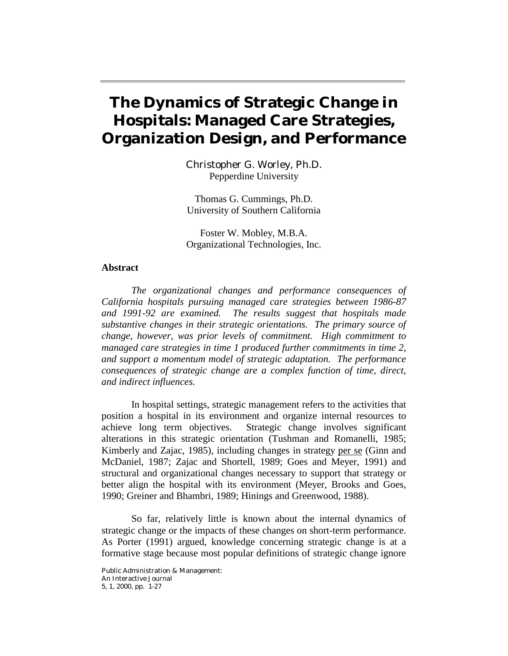# **The Dynamics of Strategic Change in Hospitals: Managed Care Strategies, Organization Design, and Performance**

Christopher G. Worley, Ph.D. Pepperdine University

Thomas G. Cummings, Ph.D. University of Southern California

Foster W. Mobley, M.B.A. Organizational Technologies, Inc.

#### **Abstract**

*The organizational changes and performance consequences of California hospitals pursuing managed care strategies between 1986-87 and 1991-92 are examined. The results suggest that hospitals made substantive changes in their strategic orientations. The primary source of change, however, was prior levels of commitment. High commitment to managed care strategies in time 1 produced further commitments in time 2, and support a momentum model of strategic adaptation. The performance consequences of strategic change are a complex function of time, direct, and indirect influences.* 

 In hospital settings, strategic management refers to the activities that position a hospital in its environment and organize internal resources to achieve long term objectives. Strategic change involves significant alterations in this strategic orientation (Tushman and Romanelli, 1985; Kimberly and Zajac, 1985), including changes in strategy per se (Ginn and McDaniel, 1987; Zajac and Shortell, 1989; Goes and Meyer, 1991) and structural and organizational changes necessary to support that strategy or better align the hospital with its environment (Meyer, Brooks and Goes, 1990; Greiner and Bhambri, 1989; Hinings and Greenwood, 1988).

 So far, relatively little is known about the internal dynamics of strategic change or the impacts of these changes on short-term performance. As Porter (1991) argued, knowledge concerning strategic change is at a formative stage because most popular definitions of strategic change ignore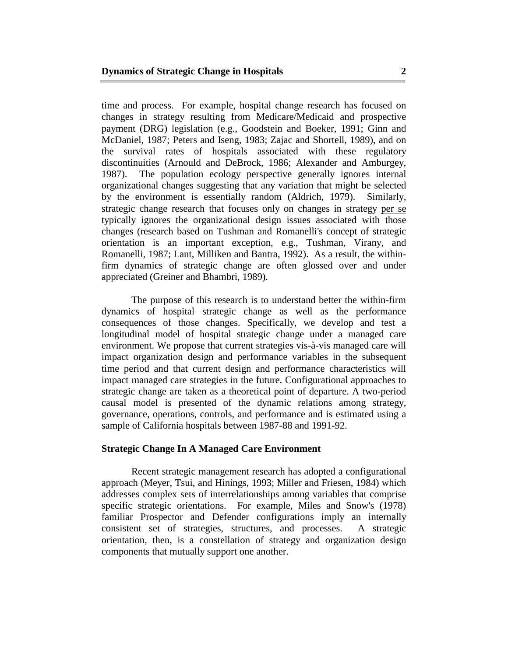time and process. For example, hospital change research has focused on changes in strategy resulting from Medicare/Medicaid and prospective payment (DRG) legislation (e.g., Goodstein and Boeker, 1991; Ginn and McDaniel, 1987; Peters and Iseng, 1983; Zajac and Shortell, 1989), and on the survival rates of hospitals associated with these regulatory discontinuities (Arnould and DeBrock, 1986; Alexander and Amburgey, 1987). The population ecology perspective generally ignores internal organizational changes suggesting that any variation that might be selected by the environment is essentially random (Aldrich, 1979). Similarly, strategic change research that focuses only on changes in strategy per se typically ignores the organizational design issues associated with those changes (research based on Tushman and Romanelli's concept of strategic orientation is an important exception, e.g., Tushman, Virany, and Romanelli, 1987; Lant, Milliken and Bantra, 1992). As a result, the withinfirm dynamics of strategic change are often glossed over and under appreciated (Greiner and Bhambri, 1989).

 The purpose of this research is to understand better the within-firm dynamics of hospital strategic change as well as the performance consequences of those changes. Specifically, we develop and test a longitudinal model of hospital strategic change under a managed care environment. We propose that current strategies vis-à-vis managed care will impact organization design and performance variables in the subsequent time period and that current design and performance characteristics will impact managed care strategies in the future. Configurational approaches to strategic change are taken as a theoretical point of departure. A two-period causal model is presented of the dynamic relations among strategy, governance, operations, controls, and performance and is estimated using a sample of California hospitals between 1987-88 and 1991-92.

## **Strategic Change In A Managed Care Environment**

 Recent strategic management research has adopted a configurational approach (Meyer, Tsui, and Hinings, 1993; Miller and Friesen, 1984) which addresses complex sets of interrelationships among variables that comprise specific strategic orientations. For example, Miles and Snow's (1978) familiar Prospector and Defender configurations imply an internally consistent set of strategies, structures, and processes. A strategic orientation, then, is a constellation of strategy and organization design components that mutually support one another.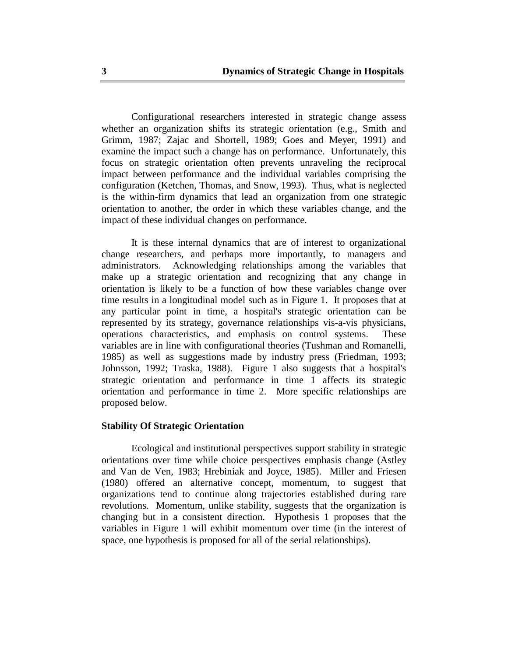Configurational researchers interested in strategic change assess whether an organization shifts its strategic orientation (e.g., Smith and Grimm, 1987; Zajac and Shortell, 1989; Goes and Meyer, 1991) and examine the impact such a change has on performance. Unfortunately, this focus on strategic orientation often prevents unraveling the reciprocal impact between performance and the individual variables comprising the configuration (Ketchen, Thomas, and Snow, 1993). Thus, what is neglected is the within-firm dynamics that lead an organization from one strategic orientation to another, the order in which these variables change, and the impact of these individual changes on performance.

 It is these internal dynamics that are of interest to organizational change researchers, and perhaps more importantly, to managers and administrators. Acknowledging relationships among the variables that make up a strategic orientation and recognizing that any change in orientation is likely to be a function of how these variables change over time results in a longitudinal model such as in Figure 1. It proposes that at any particular point in time, a hospital's strategic orientation can be represented by its strategy, governance relationships vis-a-vis physicians, operations characteristics, and emphasis on control systems. These variables are in line with configurational theories (Tushman and Romanelli, 1985) as well as suggestions made by industry press (Friedman, 1993; Johnsson, 1992; Traska, 1988). Figure 1 also suggests that a hospital's strategic orientation and performance in time 1 affects its strategic orientation and performance in time 2. More specific relationships are proposed below.

## **Stability Of Strategic Orientation**

 Ecological and institutional perspectives support stability in strategic orientations over time while choice perspectives emphasis change (Astley and Van de Ven, 1983; Hrebiniak and Joyce, 1985). Miller and Friesen (1980) offered an alternative concept, momentum, to suggest that organizations tend to continue along trajectories established during rare revolutions. Momentum, unlike stability, suggests that the organization is changing but in a consistent direction. Hypothesis 1 proposes that the variables in Figure 1 will exhibit momentum over time (in the interest of space, one hypothesis is proposed for all of the serial relationships).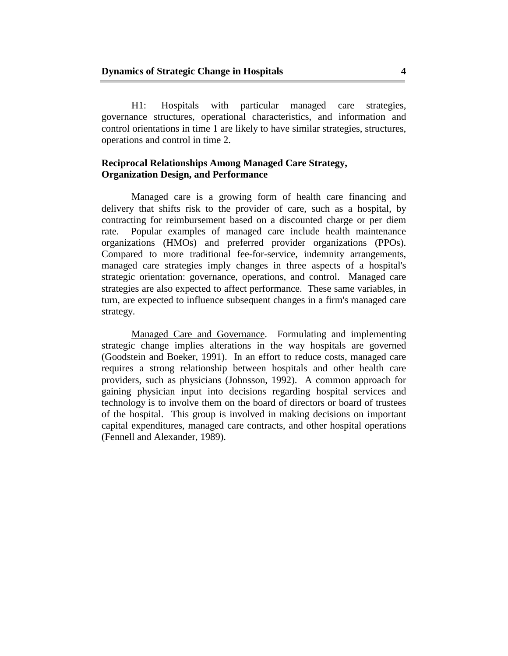H1: Hospitals with particular managed care strategies, governance structures, operational characteristics, and information and control orientations in time 1 are likely to have similar strategies, structures, operations and control in time 2.

# **Reciprocal Relationships Among Managed Care Strategy, Organization Design, and Performance**

 Managed care is a growing form of health care financing and delivery that shifts risk to the provider of care, such as a hospital, by contracting for reimbursement based on a discounted charge or per diem rate. Popular examples of managed care include health maintenance organizations (HMOs) and preferred provider organizations (PPOs). Compared to more traditional fee-for-service, indemnity arrangements, managed care strategies imply changes in three aspects of a hospital's strategic orientation: governance, operations, and control. Managed care strategies are also expected to affect performance. These same variables, in turn, are expected to influence subsequent changes in a firm's managed care strategy.

 Managed Care and Governance. Formulating and implementing strategic change implies alterations in the way hospitals are governed (Goodstein and Boeker, 1991). In an effort to reduce costs, managed care requires a strong relationship between hospitals and other health care providers, such as physicians (Johnsson, 1992). A common approach for gaining physician input into decisions regarding hospital services and technology is to involve them on the board of directors or board of trustees of the hospital. This group is involved in making decisions on important capital expenditures, managed care contracts, and other hospital operations (Fennell and Alexander, 1989).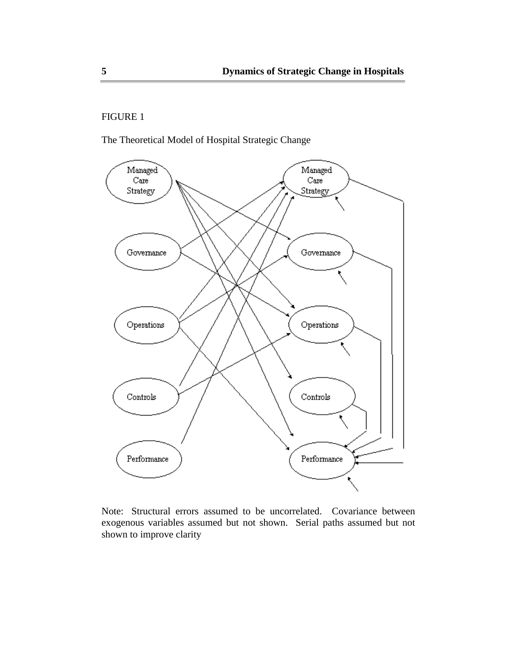# FIGURE 1

The Theoretical Model of Hospital Strategic Change



Note: Structural errors assumed to be uncorrelated. Covariance between exogenous variables assumed but not shown. Serial paths assumed but not shown to improve clarity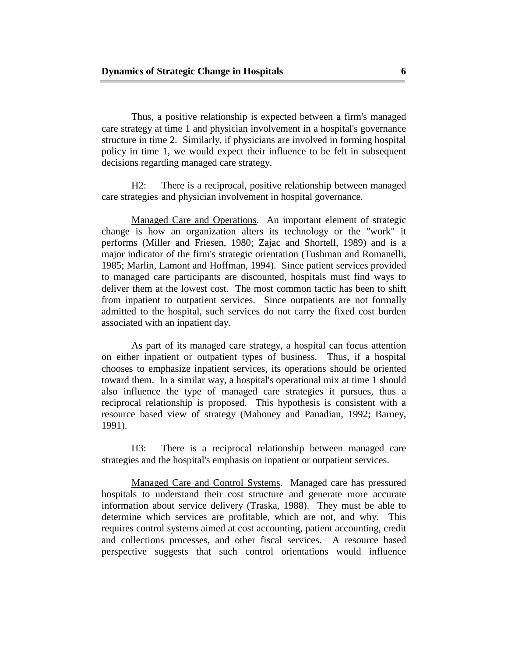Thus, a positive relationship is expected between a firm's managed care strategy at time 1 and physician involvement in a hospital's governance structure in time 2. Similarly, if physicians are involved in forming hospital policy in time 1, we would expect their influence to be felt in subsequent decisions regarding managed care strategy.

 H2: There is a reciprocal, positive relationship between managed care strategies and physician involvement in hospital governance.

 Managed Care and Operations. An important element of strategic change is how an organization alters its technology or the "work" it performs (Miller and Friesen, 1980; Zajac and Shortell, 1989) and is a major indicator of the firm's strategic orientation (Tushman and Romanelli, 1985; Marlin, Lamont and Hoffman, 1994). Since patient services provided to managed care participants are discounted, hospitals must find ways to deliver them at the lowest cost. The most common tactic has been to shift from inpatient to outpatient services. Since outpatients are not formally admitted to the hospital, such services do not carry the fixed cost burden associated with an inpatient day.

 As part of its managed care strategy, a hospital can focus attention on either inpatient or outpatient types of business. Thus, if a hospital chooses to emphasize inpatient services, its operations should be oriented toward them. In a similar way, a hospital's operational mix at time 1 should also influence the type of managed care strategies it pursues, thus a reciprocal relationship is proposed. This hypothesis is consistent with a resource based view of strategy (Mahoney and Panadian, 1992; Barney, 1991).

 H3: There is a reciprocal relationship between managed care strategies and the hospital's emphasis on inpatient or outpatient services.

 Managed Care and Control Systems. Managed care has pressured hospitals to understand their cost structure and generate more accurate information about service delivery (Traska, 1988). They must be able to determine which services are profitable, which are not, and why. This requires control systems aimed at cost accounting, patient accounting, credit and collections processes, and other fiscal services. A resource based perspective suggests that such control orientations would influence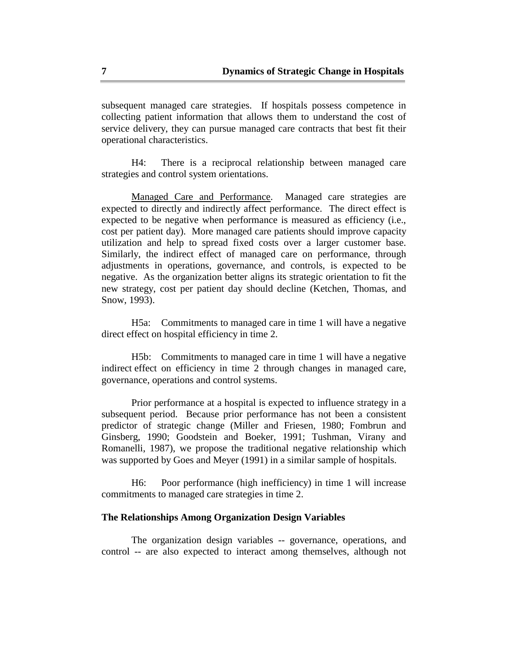subsequent managed care strategies. If hospitals possess competence in collecting patient information that allows them to understand the cost of service delivery, they can pursue managed care contracts that best fit their operational characteristics.

 H4: There is a reciprocal relationship between managed care strategies and control system orientations.

 Managed Care and Performance. Managed care strategies are expected to directly and indirectly affect performance. The direct effect is expected to be negative when performance is measured as efficiency (i.e., cost per patient day). More managed care patients should improve capacity utilization and help to spread fixed costs over a larger customer base. Similarly, the indirect effect of managed care on performance, through adjustments in operations, governance, and controls, is expected to be negative. As the organization better aligns its strategic orientation to fit the new strategy, cost per patient day should decline (Ketchen, Thomas, and Snow, 1993).

 H5a: Commitments to managed care in time 1 will have a negative direct effect on hospital efficiency in time 2.

 H5b: Commitments to managed care in time 1 will have a negative indirect effect on efficiency in time 2 through changes in managed care, governance, operations and control systems.

 Prior performance at a hospital is expected to influence strategy in a subsequent period. Because prior performance has not been a consistent predictor of strategic change (Miller and Friesen, 1980; Fombrun and Ginsberg, 1990; Goodstein and Boeker, 1991; Tushman, Virany and Romanelli, 1987), we propose the traditional negative relationship which was supported by Goes and Meyer (1991) in a similar sample of hospitals.

 H6: Poor performance (high inefficiency) in time 1 will increase commitments to managed care strategies in time 2.

## **The Relationships Among Organization Design Variables**

 The organization design variables -- governance, operations, and control -- are also expected to interact among themselves, although not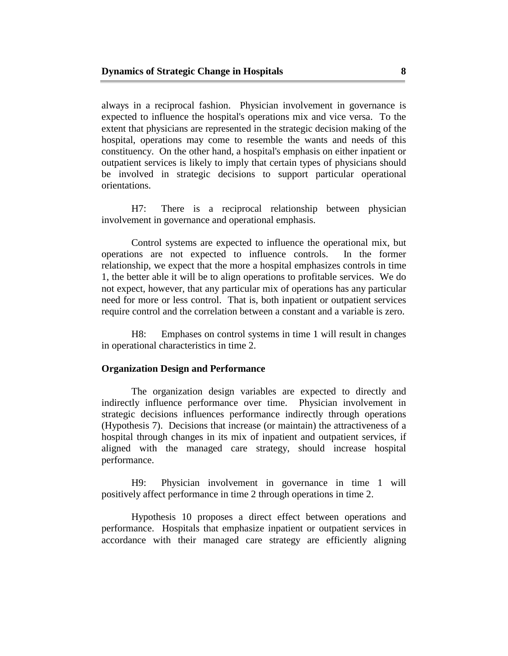always in a reciprocal fashion. Physician involvement in governance is expected to influence the hospital's operations mix and vice versa. To the extent that physicians are represented in the strategic decision making of the hospital, operations may come to resemble the wants and needs of this constituency. On the other hand, a hospital's emphasis on either inpatient or outpatient services is likely to imply that certain types of physicians should be involved in strategic decisions to support particular operational orientations.

 H7: There is a reciprocal relationship between physician involvement in governance and operational emphasis.

 Control systems are expected to influence the operational mix, but operations are not expected to influence controls. In the former relationship, we expect that the more a hospital emphasizes controls in time 1, the better able it will be to align operations to profitable services. We do not expect, however, that any particular mix of operations has any particular need for more or less control. That is, both inpatient or outpatient services require control and the correlation between a constant and a variable is zero.

 H8: Emphases on control systems in time 1 will result in changes in operational characteristics in time 2.

#### **Organization Design and Performance**

 The organization design variables are expected to directly and indirectly influence performance over time. Physician involvement in strategic decisions influences performance indirectly through operations (Hypothesis 7). Decisions that increase (or maintain) the attractiveness of a hospital through changes in its mix of inpatient and outpatient services, if aligned with the managed care strategy, should increase hospital performance.

 H9: Physician involvement in governance in time 1 will positively affect performance in time 2 through operations in time 2.

 Hypothesis 10 proposes a direct effect between operations and performance. Hospitals that emphasize inpatient or outpatient services in accordance with their managed care strategy are efficiently aligning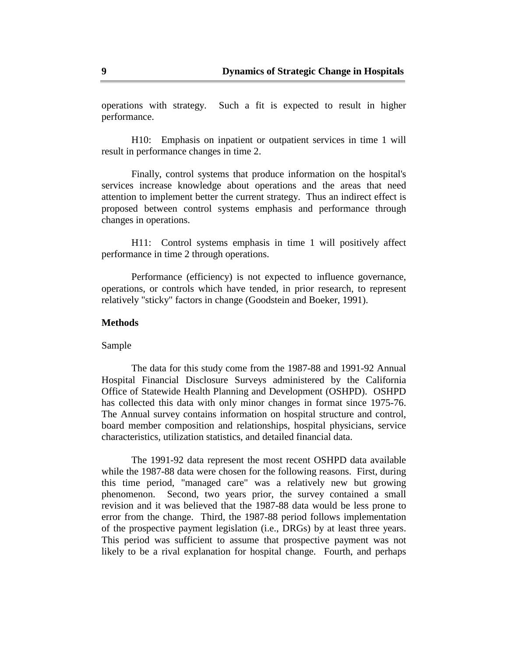operations with strategy. Such a fit is expected to result in higher performance.

 H10: Emphasis on inpatient or outpatient services in time 1 will result in performance changes in time 2.

 Finally, control systems that produce information on the hospital's services increase knowledge about operations and the areas that need attention to implement better the current strategy. Thus an indirect effect is proposed between control systems emphasis and performance through changes in operations.

 H11: Control systems emphasis in time 1 will positively affect performance in time 2 through operations.

 Performance (efficiency) is not expected to influence governance, operations, or controls which have tended, in prior research, to represent relatively "sticky" factors in change (Goodstein and Boeker, 1991).

#### **Methods**

Sample

 The data for this study come from the 1987-88 and 1991-92 Annual Hospital Financial Disclosure Surveys administered by the California Office of Statewide Health Planning and Development (OSHPD). OSHPD has collected this data with only minor changes in format since 1975-76. The Annual survey contains information on hospital structure and control, board member composition and relationships, hospital physicians, service characteristics, utilization statistics, and detailed financial data.

 The 1991-92 data represent the most recent OSHPD data available while the 1987-88 data were chosen for the following reasons. First, during this time period, "managed care" was a relatively new but growing phenomenon. Second, two years prior, the survey contained a small revision and it was believed that the 1987-88 data would be less prone to error from the change. Third, the 1987-88 period follows implementation of the prospective payment legislation (i.e., DRGs) by at least three years. This period was sufficient to assume that prospective payment was not likely to be a rival explanation for hospital change. Fourth, and perhaps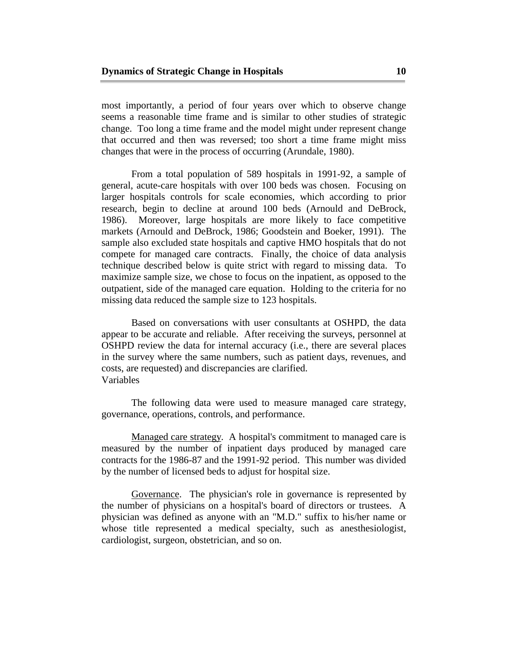most importantly, a period of four years over which to observe change seems a reasonable time frame and is similar to other studies of strategic change. Too long a time frame and the model might under represent change that occurred and then was reversed; too short a time frame might miss changes that were in the process of occurring (Arundale, 1980).

 From a total population of 589 hospitals in 1991-92, a sample of general, acute-care hospitals with over 100 beds was chosen. Focusing on larger hospitals controls for scale economies, which according to prior research, begin to decline at around 100 beds (Arnould and DeBrock, 1986). Moreover, large hospitals are more likely to face competitive markets (Arnould and DeBrock, 1986; Goodstein and Boeker, 1991). The sample also excluded state hospitals and captive HMO hospitals that do not compete for managed care contracts. Finally, the choice of data analysis technique described below is quite strict with regard to missing data. To maximize sample size, we chose to focus on the inpatient, as opposed to the outpatient, side of the managed care equation. Holding to the criteria for no missing data reduced the sample size to 123 hospitals.

 Based on conversations with user consultants at OSHPD, the data appear to be accurate and reliable. After receiving the surveys, personnel at OSHPD review the data for internal accuracy (i.e., there are several places in the survey where the same numbers, such as patient days, revenues, and costs, are requested) and discrepancies are clarified. Variables

 The following data were used to measure managed care strategy, governance, operations, controls, and performance.

 Managed care strategy. A hospital's commitment to managed care is measured by the number of inpatient days produced by managed care contracts for the 1986-87 and the 1991-92 period. This number was divided by the number of licensed beds to adjust for hospital size.

 Governance. The physician's role in governance is represented by the number of physicians on a hospital's board of directors or trustees. A physician was defined as anyone with an "M.D." suffix to his/her name or whose title represented a medical specialty, such as anesthesiologist, cardiologist, surgeon, obstetrician, and so on.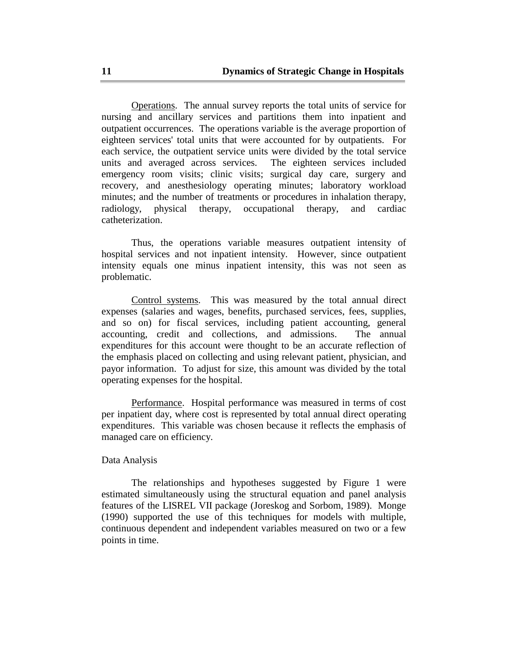Operations. The annual survey reports the total units of service for nursing and ancillary services and partitions them into inpatient and outpatient occurrences. The operations variable is the average proportion of eighteen services' total units that were accounted for by outpatients. For each service, the outpatient service units were divided by the total service units and averaged across services. The eighteen services included emergency room visits; clinic visits; surgical day care, surgery and recovery, and anesthesiology operating minutes; laboratory workload minutes; and the number of treatments or procedures in inhalation therapy, radiology, physical therapy, occupational therapy, and cardiac catheterization.

 Thus, the operations variable measures outpatient intensity of hospital services and not inpatient intensity. However, since outpatient intensity equals one minus inpatient intensity, this was not seen as problematic.

 Control systems. This was measured by the total annual direct expenses (salaries and wages, benefits, purchased services, fees, supplies, and so on) for fiscal services, including patient accounting, general accounting, credit and collections, and admissions. The annual expenditures for this account were thought to be an accurate reflection of the emphasis placed on collecting and using relevant patient, physician, and payor information. To adjust for size, this amount was divided by the total operating expenses for the hospital.

 Performance. Hospital performance was measured in terms of cost per inpatient day, where cost is represented by total annual direct operating expenditures. This variable was chosen because it reflects the emphasis of managed care on efficiency.

## Data Analysis

 The relationships and hypotheses suggested by Figure 1 were estimated simultaneously using the structural equation and panel analysis features of the LISREL VII package (Joreskog and Sorbom, 1989). Monge (1990) supported the use of this techniques for models with multiple, continuous dependent and independent variables measured on two or a few points in time.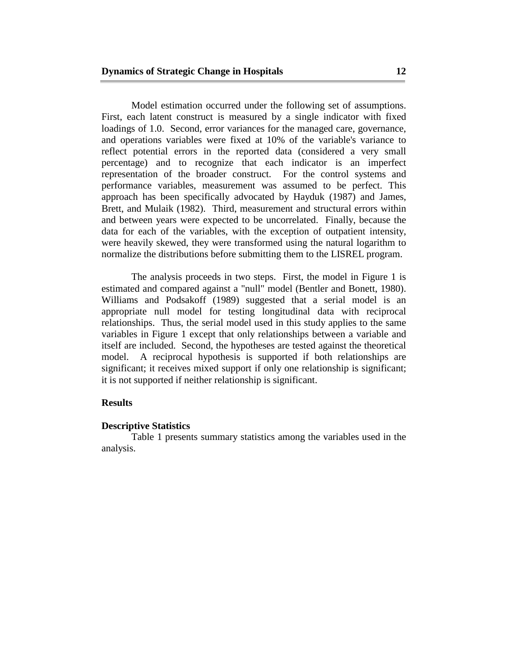Model estimation occurred under the following set of assumptions. First, each latent construct is measured by a single indicator with fixed loadings of 1.0. Second, error variances for the managed care, governance, and operations variables were fixed at 10% of the variable's variance to reflect potential errors in the reported data (considered a very small percentage) and to recognize that each indicator is an imperfect representation of the broader construct. For the control systems and performance variables, measurement was assumed to be perfect. This approach has been specifically advocated by Hayduk (1987) and James, Brett, and Mulaik (1982). Third, measurement and structural errors within and between years were expected to be uncorrelated. Finally, because the data for each of the variables, with the exception of outpatient intensity, were heavily skewed, they were transformed using the natural logarithm to normalize the distributions before submitting them to the LISREL program.

 The analysis proceeds in two steps. First, the model in Figure 1 is estimated and compared against a "null" model (Bentler and Bonett, 1980). Williams and Podsakoff (1989) suggested that a serial model is an appropriate null model for testing longitudinal data with reciprocal relationships. Thus, the serial model used in this study applies to the same variables in Figure 1 except that only relationships between a variable and itself are included. Second, the hypotheses are tested against the theoretical model. A reciprocal hypothesis is supported if both relationships are significant; it receives mixed support if only one relationship is significant; it is not supported if neither relationship is significant.

## **Results**

#### **Descriptive Statistics**

 Table 1 presents summary statistics among the variables used in the analysis.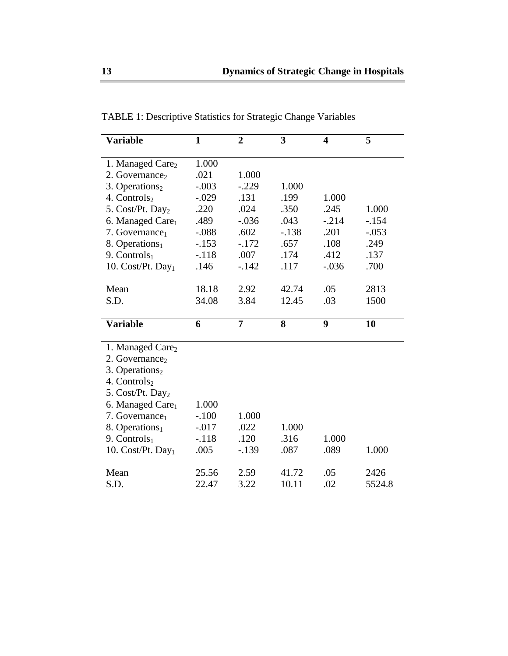| <b>Variable</b>               | $\mathbf{1}$ | $\overline{2}$ | 3       | 4       | 5       |
|-------------------------------|--------------|----------------|---------|---------|---------|
|                               |              |                |         |         |         |
| 1. Managed Care <sub>2</sub>  | 1.000        |                |         |         |         |
| 2. Governance <sub>2</sub>    | .021         | 1.000          |         |         |         |
| 3. Operations $2$             | $-.003$      | $-.229$        | 1.000   |         |         |
| 4. Controls <sub>2</sub>      | $-.029$      | .131           | .199    | 1.000   |         |
| 5. Cost/Pt. Day <sub>2</sub>  | .220         | .024           | .350    | .245    | 1.000   |
| 6. Managed Care <sub>1</sub>  | .489         | $-.036$        | .043    | $-.214$ | $-.154$ |
| 7. Governance <sub>1</sub>    | $-.088$      | .602           | $-.138$ | .201    | $-.053$ |
| 8. Operations $_1$            | $-.153$      | $-.172$        | .657    | .108    | .249    |
| 9. Controls $_1$              | $-.118$      | .007           | .174    | .412    | .137    |
| 10. Cost/Pt. Day <sub>1</sub> | .146         | $-.142$        | .117    | $-.036$ | .700    |
| Mean                          | 18.18        | 2.92           | 42.74   | .05     | 2813    |
|                               |              | 3.84           | 12.45   |         | 1500    |
| S.D.                          | 34.08        |                |         | .03     |         |
| <b>Variable</b>               | 6            | 7              | 8       | 9       | 10      |
|                               |              |                |         |         |         |
| 1. Managed Care <sub>2</sub>  |              |                |         |         |         |
|                               |              |                |         |         |         |
| 2. Governance                 |              |                |         |         |         |
| 3. Operations $2$             |              |                |         |         |         |
| 4. Controls <sub>2</sub>      |              |                |         |         |         |
| 5. Cost/Pt. Day <sub>2</sub>  |              |                |         |         |         |
| 6. Managed Care <sub>1</sub>  | 1.000        |                |         |         |         |
| 7. Governance <sub>1</sub>    | $-.100$      | 1.000          |         |         |         |
| 8. Operations <sub>1</sub>    | $-0.017$     | .022           | 1.000   |         |         |
| 9. Controls $_1$              | $-.118$      | .120           | .316    | 1.000   |         |
| 10. Cost/Pt. Day <sub>1</sub> | .005         | $-.139$        | .087    | .089    | 1.000   |
| Mean                          | 25.56        | 2.59           | 41.72   | .05     | 2426    |

TABLE 1: Descriptive Statistics for Strategic Change Variables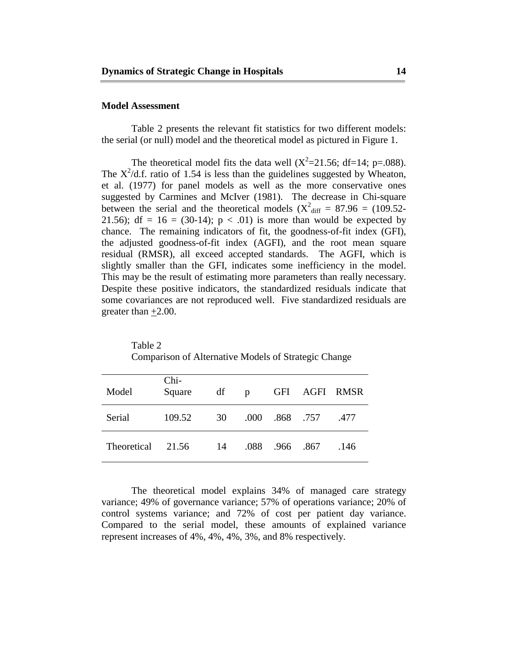#### **Model Assessment**

 Table 2 presents the relevant fit statistics for two different models: the serial (or null) model and the theoretical model as pictured in Figure 1.

The theoretical model fits the data well  $(X^2=21.56; df=14; p=.088)$ . The  $X^2/d.f$ . ratio of 1.54 is less than the guidelines suggested by Wheaton, et al. (1977) for panel models as well as the more conservative ones suggested by Carmines and McIver (1981). The decrease in Chi-square between the serial and the theoretical models ( $X^2$ <sub>diff</sub> = 87.96 = (109.52-21.56); df = 16 = (30-14);  $p < .01$ ) is more than would be expected by chance. The remaining indicators of fit, the goodness-of-fit index (GFI), the adjusted goodness-of-fit index (AGFI), and the root mean square residual (RMSR), all exceed accepted standards. The AGFI, which is slightly smaller than the GFI, indicates some inefficiency in the model. This may be the result of estimating more parameters than really necessary. Despite these positive indicators, the standardized residuals indicate that some covariances are not reproduced well. Five standardized residuals are greater than  $+2.00$ .

| Model       | Chi-<br>Square | df |      |           |          | p GFI AGFI RMSR |
|-------------|----------------|----|------|-----------|----------|-----------------|
| Serial      | 109.52         | 30 | .000 |           | .868.757 | .477            |
| Theoretical | 21.56          | 14 | .088 | .966 .867 |          | .146            |

 Table 2 Comparison of Alternative Models of Strategic Change

 The theoretical model explains 34% of managed care strategy variance; 49% of governance variance; 57% of operations variance; 20% of control systems variance; and 72% of cost per patient day variance. Compared to the serial model, these amounts of explained variance represent increases of 4%, 4%, 4%, 3%, and 8% respectively.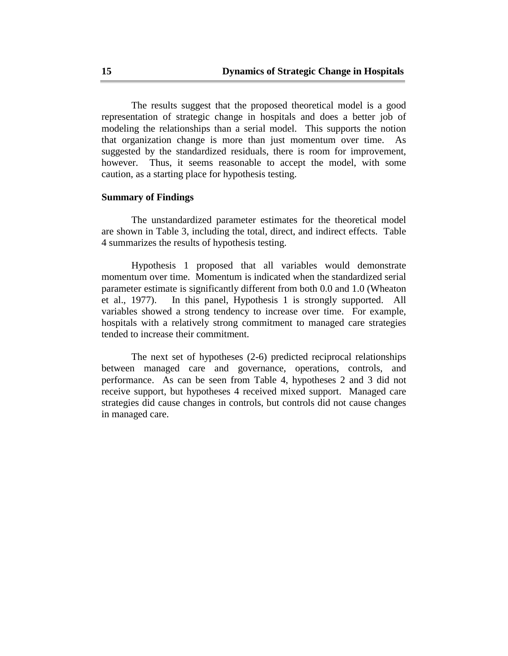The results suggest that the proposed theoretical model is a good representation of strategic change in hospitals and does a better job of modeling the relationships than a serial model. This supports the notion that organization change is more than just momentum over time. As suggested by the standardized residuals, there is room for improvement, however. Thus, it seems reasonable to accept the model, with some caution, as a starting place for hypothesis testing.

## **Summary of Findings**

 The unstandardized parameter estimates for the theoretical model are shown in Table 3, including the total, direct, and indirect effects. Table 4 summarizes the results of hypothesis testing.

 Hypothesis 1 proposed that all variables would demonstrate momentum over time. Momentum is indicated when the standardized serial parameter estimate is significantly different from both 0.0 and 1.0 (Wheaton et al., 1977). In this panel, Hypothesis 1 is strongly supported. All variables showed a strong tendency to increase over time. For example, hospitals with a relatively strong commitment to managed care strategies tended to increase their commitment.

 The next set of hypotheses (2-6) predicted reciprocal relationships between managed care and governance, operations, controls, and performance. As can be seen from Table 4, hypotheses 2 and 3 did not receive support, but hypotheses 4 received mixed support. Managed care strategies did cause changes in controls, but controls did not cause changes in managed care.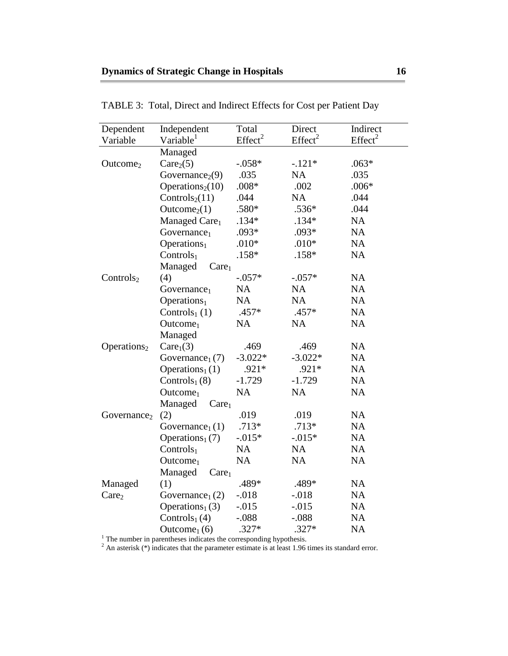| Dependent               | Independent                                                                                                                                                                   | Total               | Direct              | Indirect            |
|-------------------------|-------------------------------------------------------------------------------------------------------------------------------------------------------------------------------|---------------------|---------------------|---------------------|
| Variable                | Variable <sup>1</sup>                                                                                                                                                         | Effect <sup>2</sup> | Effect <sup>2</sup> | Effect <sup>2</sup> |
|                         | Managed                                                                                                                                                                       |                     |                     |                     |
| Outcome <sub>2</sub>    | Care <sub>2</sub> (5)                                                                                                                                                         | $-.058*$            | $-.121*$            | $.063*$             |
|                         | Governance <sub>2</sub> $(9)$                                                                                                                                                 | .035                | <b>NA</b>           | .035                |
|                         | Operations <sub>2</sub> $(10)$                                                                                                                                                | $.008*$             | .002                | $.006*$             |
|                         | Controls <sub>2</sub> $(11)$                                                                                                                                                  | .044                | <b>NA</b>           | .044                |
|                         | Outcome <sub>2</sub> (1)                                                                                                                                                      | .580*               | $.536*$             | .044                |
|                         | Managed Care <sub>1</sub>                                                                                                                                                     | $.134*$             | $.134*$             | <b>NA</b>           |
|                         | Government <sub>1</sub>                                                                                                                                                       | $.093*$             | $.093*$             | <b>NA</b>           |
|                         | Operations <sub>1</sub>                                                                                                                                                       | $.010*$             | $.010*$             | <b>NA</b>           |
|                         | Controls $_1$                                                                                                                                                                 | $.158*$             | $.158*$             | <b>NA</b>           |
|                         | Managed<br>Care <sub>1</sub>                                                                                                                                                  |                     |                     |                     |
| Controls <sub>2</sub>   | (4)                                                                                                                                                                           | $-.057*$            | $-.057*$            | <b>NA</b>           |
|                         | Government <sub>1</sub>                                                                                                                                                       | <b>NA</b>           | <b>NA</b>           | <b>NA</b>           |
|                         | Operations <sub>1</sub>                                                                                                                                                       | <b>NA</b>           | <b>NA</b>           | <b>NA</b>           |
|                         | Controls $_1$ (1)                                                                                                                                                             | .457*               | .457*               | <b>NA</b>           |
|                         | $\text{Outcome}_1$                                                                                                                                                            | <b>NA</b>           | <b>NA</b>           | <b>NA</b>           |
|                         | Managed                                                                                                                                                                       |                     |                     |                     |
| Operations $2$          | Care <sub>1</sub> (3)                                                                                                                                                         | .469                | .469                | <b>NA</b>           |
|                         | Governance <sub>1</sub> $(7)$                                                                                                                                                 | $-3.022*$           | $-3.022*$           | <b>NA</b>           |
|                         | Operations $_1(1)$                                                                                                                                                            | $.921*$             | $.921*$             | <b>NA</b>           |
|                         | Controls $_1(8)$                                                                                                                                                              | $-1.729$            | $-1.729$            | <b>NA</b>           |
|                         | $\text{Outcome}_1$                                                                                                                                                            | <b>NA</b>           | <b>NA</b>           | <b>NA</b>           |
|                         | Managed<br>Care <sub>1</sub>                                                                                                                                                  |                     |                     |                     |
| Governance <sub>2</sub> | (2)                                                                                                                                                                           | .019                | .019                | <b>NA</b>           |
|                         | Governance <sub>1</sub> $(1)$                                                                                                                                                 | $.713*$             | $.713*$             | <b>NA</b>           |
|                         | Operations <sub>1</sub> $(7)$                                                                                                                                                 | $-.015*$            | $-0.015*$           | <b>NA</b>           |
|                         | Controls $_1$                                                                                                                                                                 | <b>NA</b>           | <b>NA</b>           | <b>NA</b>           |
|                         | $\text{Outcome}_1$                                                                                                                                                            | <b>NA</b>           | <b>NA</b>           | <b>NA</b>           |
|                         | Managed<br>Care <sub>1</sub>                                                                                                                                                  |                     |                     |                     |
| Managed                 | (1)                                                                                                                                                                           | .489*               | .489*               | <b>NA</b>           |
| Care <sub>2</sub>       | Governance <sub>1</sub> $(2)$                                                                                                                                                 | $-.018$             | $-.018$             | <b>NA</b>           |
|                         | Operations <sub>1</sub> $(3)$                                                                                                                                                 | $-0.015$            | $-0.015$            | <b>NA</b>           |
|                         | Controls $_1(4)$                                                                                                                                                              | $-.088$             | $-.088$             | <b>NA</b>           |
|                         | Outcome <sub>1</sub> $(6)$                                                                                                                                                    | $.327*$             | $.327*$             | <b>NA</b>           |
|                         | $1$ The number in parentheses indicates the corresponding hypothesis.<br>$2$ An asterisk (*) indicates that the parameter estimate is at least 1.96 times its standard error. |                     |                     |                     |

TABLE 3: Total, Direct and Indirect Effects for Cost per Patient Day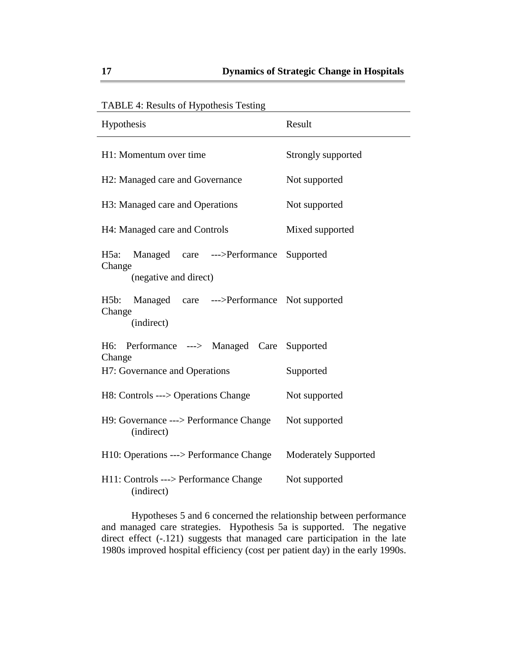| Tribed is resents of hypothesis results                     |                             |  |
|-------------------------------------------------------------|-----------------------------|--|
| Hypothesis                                                  | Result                      |  |
| H1: Momentum over time                                      | Strongly supported          |  |
| H <sub>2</sub> : Managed care and Governance                | Not supported               |  |
| H3: Managed care and Operations                             | Not supported               |  |
| H4: Managed care and Controls                               | Mixed supported             |  |
| $H5a$ :<br>Managed care --->Performance Supported<br>Change |                             |  |
| (negative and direct)                                       |                             |  |
| H5b: Managed care --->Performance Not supported<br>Change   |                             |  |
| (indirect)                                                  |                             |  |
| H6: Performance ---> Managed Care Supported<br>Change       |                             |  |
| H7: Governance and Operations                               | Supported                   |  |
| H8: Controls ---> Operations Change                         | Not supported               |  |
| H9: Governance ---> Performance Change<br>(indirect)        | Not supported               |  |
| H10: Operations ---> Performance Change                     | <b>Moderately Supported</b> |  |
| H11: Controls ---> Performance Change<br>(indirect)         | Not supported               |  |

TABLE 4: Results of Hypothesis Testing

 Hypotheses 5 and 6 concerned the relationship between performance and managed care strategies. Hypothesis 5a is supported. The negative direct effect (-.121) suggests that managed care participation in the late 1980s improved hospital efficiency (cost per patient day) in the early 1990s.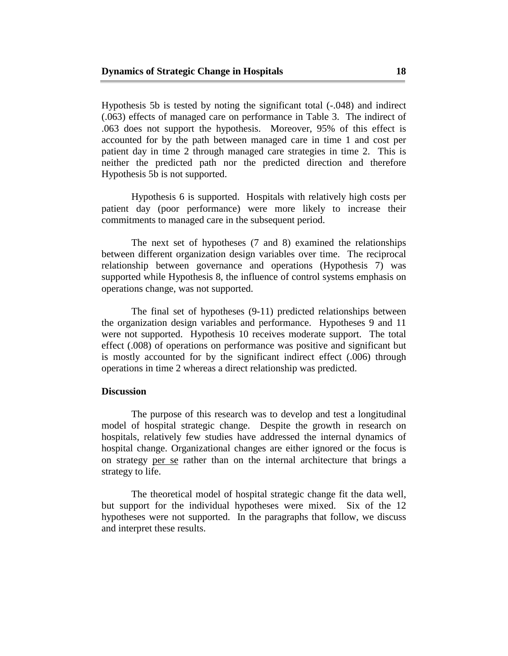Hypothesis 5b is tested by noting the significant total (-.048) and indirect (.063) effects of managed care on performance in Table 3. The indirect of .063 does not support the hypothesis. Moreover, 95% of this effect is accounted for by the path between managed care in time 1 and cost per patient day in time 2 through managed care strategies in time 2. This is neither the predicted path nor the predicted direction and therefore Hypothesis 5b is not supported.

 Hypothesis 6 is supported. Hospitals with relatively high costs per patient day (poor performance) were more likely to increase their commitments to managed care in the subsequent period.

 The next set of hypotheses (7 and 8) examined the relationships between different organization design variables over time. The reciprocal relationship between governance and operations (Hypothesis 7) was supported while Hypothesis 8, the influence of control systems emphasis on operations change, was not supported.

 The final set of hypotheses (9-11) predicted relationships between the organization design variables and performance. Hypotheses 9 and 11 were not supported. Hypothesis 10 receives moderate support. The total effect (.008) of operations on performance was positive and significant but is mostly accounted for by the significant indirect effect (.006) through operations in time 2 whereas a direct relationship was predicted.

#### **Discussion**

 The purpose of this research was to develop and test a longitudinal model of hospital strategic change. Despite the growth in research on hospitals, relatively few studies have addressed the internal dynamics of hospital change. Organizational changes are either ignored or the focus is on strategy per se rather than on the internal architecture that brings a strategy to life.

 The theoretical model of hospital strategic change fit the data well, but support for the individual hypotheses were mixed. Six of the 12 hypotheses were not supported. In the paragraphs that follow, we discuss and interpret these results.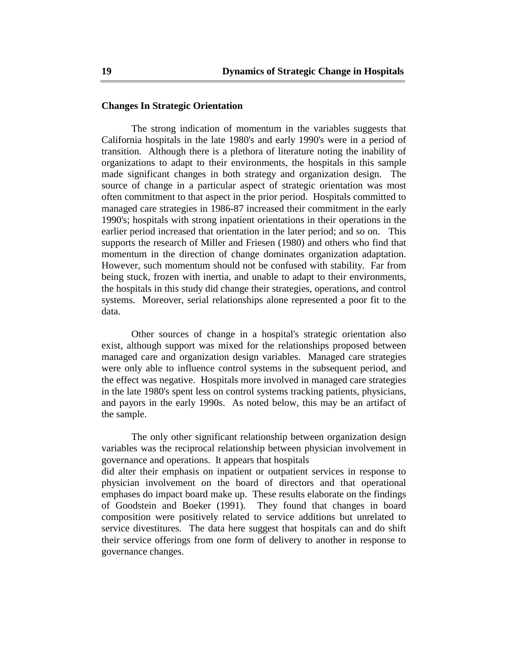## **Changes In Strategic Orientation**

 The strong indication of momentum in the variables suggests that California hospitals in the late 1980's and early 1990's were in a period of transition. Although there is a plethora of literature noting the inability of organizations to adapt to their environments, the hospitals in this sample made significant changes in both strategy and organization design. The source of change in a particular aspect of strategic orientation was most often commitment to that aspect in the prior period. Hospitals committed to managed care strategies in 1986-87 increased their commitment in the early 1990's; hospitals with strong inpatient orientations in their operations in the earlier period increased that orientation in the later period; and so on. This supports the research of Miller and Friesen (1980) and others who find that momentum in the direction of change dominates organization adaptation. However, such momentum should not be confused with stability. Far from being stuck, frozen with inertia, and unable to adapt to their environments, the hospitals in this study did change their strategies, operations, and control systems. Moreover, serial relationships alone represented a poor fit to the data.

 Other sources of change in a hospital's strategic orientation also exist, although support was mixed for the relationships proposed between managed care and organization design variables. Managed care strategies were only able to influence control systems in the subsequent period, and the effect was negative. Hospitals more involved in managed care strategies in the late 1980's spent less on control systems tracking patients, physicians, and payors in the early 1990s. As noted below, this may be an artifact of the sample.

 The only other significant relationship between organization design variables was the reciprocal relationship between physician involvement in governance and operations. It appears that hospitals

did alter their emphasis on inpatient or outpatient services in response to physician involvement on the board of directors and that operational emphases do impact board make up. These results elaborate on the findings of Goodstein and Boeker (1991). They found that changes in board composition were positively related to service additions but unrelated to service divestitures. The data here suggest that hospitals can and do shift their service offerings from one form of delivery to another in response to governance changes.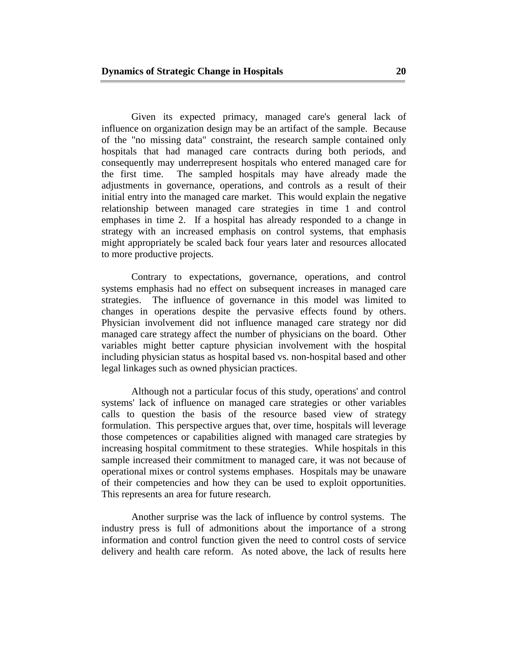Given its expected primacy, managed care's general lack of influence on organization design may be an artifact of the sample. Because of the "no missing data" constraint, the research sample contained only hospitals that had managed care contracts during both periods, and consequently may underrepresent hospitals who entered managed care for the first time. The sampled hospitals may have already made the adjustments in governance, operations, and controls as a result of their initial entry into the managed care market. This would explain the negative relationship between managed care strategies in time 1 and control emphases in time 2. If a hospital has already responded to a change in strategy with an increased emphasis on control systems, that emphasis might appropriately be scaled back four years later and resources allocated to more productive projects.

 Contrary to expectations, governance, operations, and control systems emphasis had no effect on subsequent increases in managed care strategies. The influence of governance in this model was limited to changes in operations despite the pervasive effects found by others. Physician involvement did not influence managed care strategy nor did managed care strategy affect the number of physicians on the board. Other variables might better capture physician involvement with the hospital including physician status as hospital based vs. non-hospital based and other legal linkages such as owned physician practices.

 Although not a particular focus of this study, operations' and control systems' lack of influence on managed care strategies or other variables calls to question the basis of the resource based view of strategy formulation. This perspective argues that, over time, hospitals will leverage those competences or capabilities aligned with managed care strategies by increasing hospital commitment to these strategies. While hospitals in this sample increased their commitment to managed care, it was not because of operational mixes or control systems emphases. Hospitals may be unaware of their competencies and how they can be used to exploit opportunities. This represents an area for future research.

 Another surprise was the lack of influence by control systems. The industry press is full of admonitions about the importance of a strong information and control function given the need to control costs of service delivery and health care reform. As noted above, the lack of results here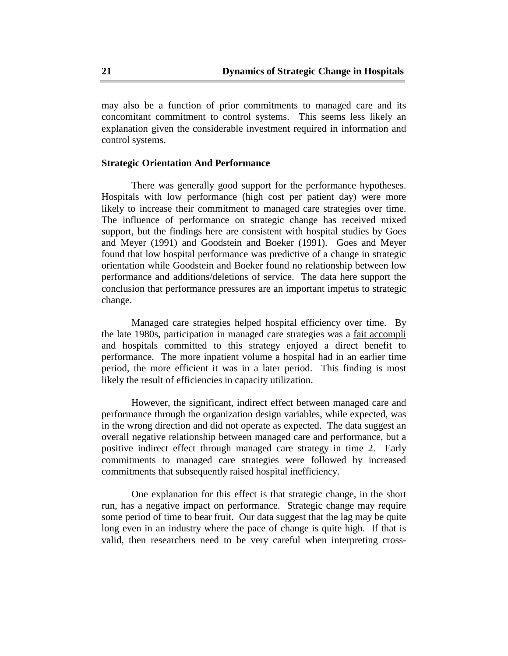may also be a function of prior commitments to managed care and its concomitant commitment to control systems. This seems less likely an explanation given the considerable investment required in information and control systems.

#### **Strategic Orientation And Performance**

 There was generally good support for the performance hypotheses. Hospitals with low performance (high cost per patient day) were more likely to increase their commitment to managed care strategies over time. The influence of performance on strategic change has received mixed support, but the findings here are consistent with hospital studies by Goes and Meyer (1991) and Goodstein and Boeker (1991). Goes and Meyer found that low hospital performance was predictive of a change in strategic orientation while Goodstein and Boeker found no relationship between low performance and additions/deletions of service. The data here support the conclusion that performance pressures are an important impetus to strategic change.

 Managed care strategies helped hospital efficiency over time. By the late 1980s, participation in managed care strategies was a fait accompli and hospitals committed to this strategy enjoyed a direct benefit to performance. The more inpatient volume a hospital had in an earlier time period, the more efficient it was in a later period. This finding is most likely the result of efficiencies in capacity utilization.

 However, the significant, indirect effect between managed care and performance through the organization design variables, while expected, was in the wrong direction and did not operate as expected. The data suggest an overall negative relationship between managed care and performance, but a positive indirect effect through managed care strategy in time 2. Early commitments to managed care strategies were followed by increased commitments that subsequently raised hospital inefficiency.

 One explanation for this effect is that strategic change, in the short run, has a negative impact on performance. Strategic change may require some period of time to bear fruit. Our data suggest that the lag may be quite long even in an industry where the pace of change is quite high. If that is valid, then researchers need to be very careful when interpreting cross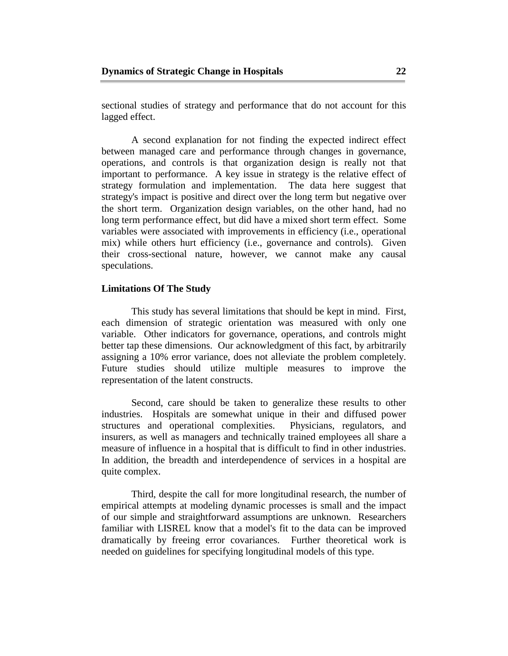sectional studies of strategy and performance that do not account for this lagged effect.

 A second explanation for not finding the expected indirect effect between managed care and performance through changes in governance, operations, and controls is that organization design is really not that important to performance. A key issue in strategy is the relative effect of strategy formulation and implementation. The data here suggest that strategy's impact is positive and direct over the long term but negative over the short term. Organization design variables, on the other hand, had no long term performance effect, but did have a mixed short term effect. Some variables were associated with improvements in efficiency (i.e., operational mix) while others hurt efficiency (i.e., governance and controls). Given their cross-sectional nature, however, we cannot make any causal speculations.

#### **Limitations Of The Study**

 This study has several limitations that should be kept in mind. First, each dimension of strategic orientation was measured with only one variable. Other indicators for governance, operations, and controls might better tap these dimensions. Our acknowledgment of this fact, by arbitrarily assigning a 10% error variance, does not alleviate the problem completely. Future studies should utilize multiple measures to improve the representation of the latent constructs.

 Second, care should be taken to generalize these results to other industries. Hospitals are somewhat unique in their and diffused power structures and operational complexities. Physicians, regulators, and insurers, as well as managers and technically trained employees all share a measure of influence in a hospital that is difficult to find in other industries. In addition, the breadth and interdependence of services in a hospital are quite complex.

 Third, despite the call for more longitudinal research, the number of empirical attempts at modeling dynamic processes is small and the impact of our simple and straightforward assumptions are unknown. Researchers familiar with LISREL know that a model's fit to the data can be improved dramatically by freeing error covariances. Further theoretical work is needed on guidelines for specifying longitudinal models of this type.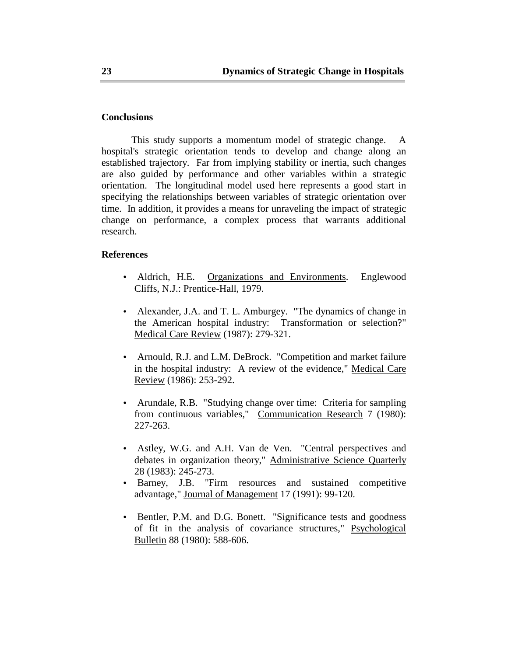#### **Conclusions**

 This study supports a momentum model of strategic change. A hospital's strategic orientation tends to develop and change along an established trajectory. Far from implying stability or inertia, such changes are also guided by performance and other variables within a strategic orientation. The longitudinal model used here represents a good start in specifying the relationships between variables of strategic orientation over time. In addition, it provides a means for unraveling the impact of strategic change on performance, a complex process that warrants additional research.

## **References**

- Aldrich, H.E. Organizations and Environments. Englewood Cliffs, N.J.: Prentice-Hall, 1979.
- Alexander, J.A. and T. L. Amburgey. "The dynamics of change in the American hospital industry: Transformation or selection?" Medical Care Review (1987): 279-321.
- Arnould, R.J. and L.M. DeBrock. "Competition and market failure in the hospital industry: A review of the evidence," Medical Care Review (1986): 253-292.
- Arundale, R.B. "Studying change over time: Criteria for sampling from continuous variables," Communication Research 7 (1980): 227-263.
- Astley, W.G. and A.H. Van de Ven. "Central perspectives and debates in organization theory," Administrative Science Quarterly 28 (1983): 245-273.
- Barney, J.B. "Firm resources and sustained competitive advantage," Journal of Management 17 (1991): 99-120.
- Bentler, P.M. and D.G. Bonett. "Significance tests and goodness of fit in the analysis of covariance structures," Psychological Bulletin 88 (1980): 588-606.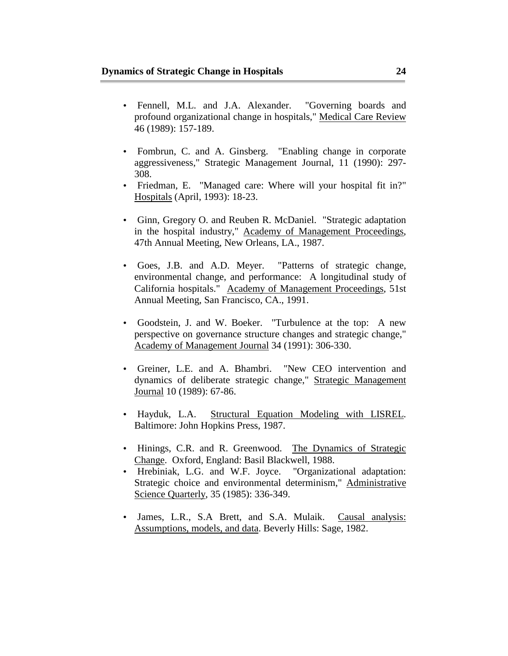- Fennell, M.L. and J.A. Alexander. "Governing boards and profound organizational change in hospitals," Medical Care Review 46 (1989): 157-189.
- Fombrun, C. and A. Ginsberg. "Enabling change in corporate aggressiveness," Strategic Management Journal, 11 (1990): 297- 308.
- Friedman, E. "Managed care: Where will your hospital fit in?" Hospitals (April, 1993): 18-23.
- Ginn, Gregory O. and Reuben R. McDaniel. "Strategic adaptation in the hospital industry," Academy of Management Proceedings, 47th Annual Meeting, New Orleans, LA., 1987.
- Goes, J.B. and A.D. Meyer. "Patterns of strategic change, environmental change, and performance: A longitudinal study of California hospitals." Academy of Management Proceedings, 51st Annual Meeting, San Francisco, CA., 1991.
- Goodstein, J. and W. Boeker. "Turbulence at the top: A new perspective on governance structure changes and strategic change," Academy of Management Journal 34 (1991): 306-330.
- Greiner, L.E. and A. Bhambri. "New CEO intervention and dynamics of deliberate strategic change," Strategic Management Journal 10 (1989): 67-86.
- Hayduk, L.A. Structural Equation Modeling with LISREL. Baltimore: John Hopkins Press, 1987.
- Hinings, C.R. and R. Greenwood. The Dynamics of Strategic Change. Oxford, England: Basil Blackwell, 1988.
- Hrebiniak, L.G. and W.F. Joyce. "Organizational adaptation: Strategic choice and environmental determinism," Administrative Science Quarterly, 35 (1985): 336-349.
- James, L.R., S.A Brett, and S.A. Mulaik. Causal analysis: Assumptions, models, and data. Beverly Hills: Sage, 1982.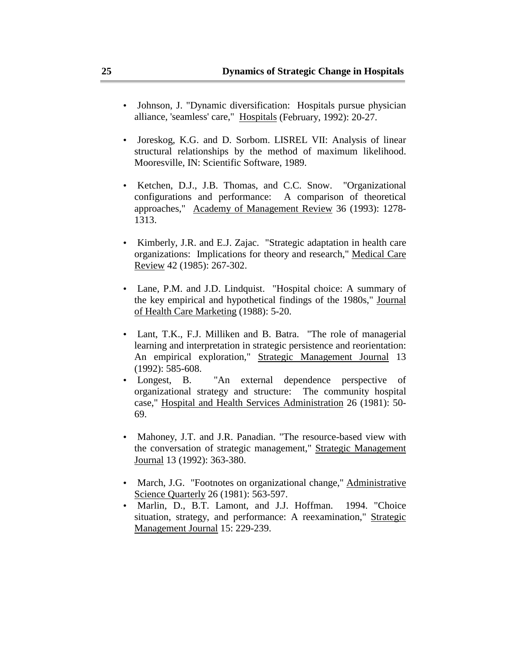- Johnson, J. "Dynamic diversification: Hospitals pursue physician alliance, 'seamless' care," Hospitals (February, 1992): 20-27.
- Joreskog, K.G. and D. Sorbom. LISREL VII: Analysis of linear structural relationships by the method of maximum likelihood. Mooresville, IN: Scientific Software, 1989.
- Ketchen, D.J., J.B. Thomas, and C.C. Snow. "Organizational configurations and performance: A comparison of theoretical approaches," Academy of Management Review 36 (1993): 1278- 1313.
- Kimberly, J.R. and E.J. Zajac. "Strategic adaptation in health care organizations: Implications for theory and research," Medical Care Review 42 (1985): 267-302.
- Lane, P.M. and J.D. Lindquist. "Hospital choice: A summary of the key empirical and hypothetical findings of the 1980s," Journal of Health Care Marketing (1988): 5-20.
- Lant, T.K., F.J. Milliken and B. Batra. "The role of managerial learning and interpretation in strategic persistence and reorientation: An empirical exploration," Strategic Management Journal 13 (1992): 585-608.
- Longest, B. "An external dependence perspective of organizational strategy and structure: The community hospital case," Hospital and Health Services Administration 26 (1981): 50- 69.
- Mahoney, J.T. and J.R. Panadian. "The resource-based view with the conversation of strategic management," Strategic Management Journal 13 (1992): 363-380.
- March, J.G. "Footnotes on organizational change," Administrative Science Quarterly 26 (1981): 563-597.
- Marlin, D., B.T. Lamont, and J.J. Hoffman. 1994. "Choice situation, strategy, and performance: A reexamination," Strategic Management Journal 15: 229-239.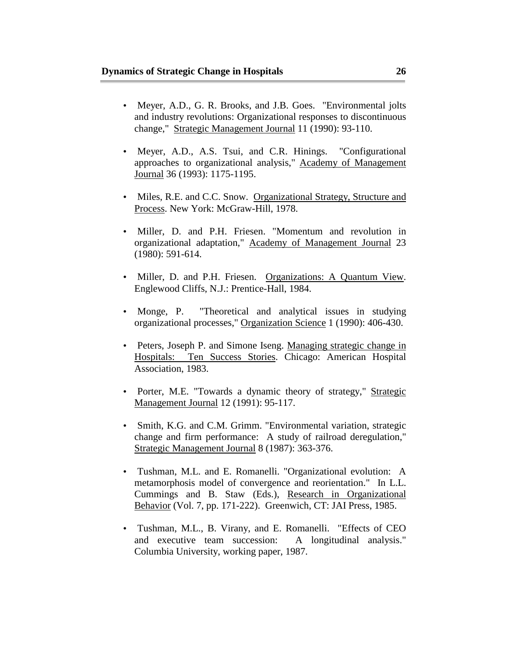- Meyer, A.D., G. R. Brooks, and J.B. Goes. "Environmental jolts and industry revolutions: Organizational responses to discontinuous change," Strategic Management Journal 11 (1990): 93-110.
- Meyer, A.D., A.S. Tsui, and C.R. Hinings. "Configurational approaches to organizational analysis," Academy of Management Journal 36 (1993): 1175-1195.
- Miles, R.E. and C.C. Snow. Organizational Strategy, Structure and Process. New York: McGraw-Hill, 1978.
- Miller, D. and P.H. Friesen. "Momentum and revolution in organizational adaptation," Academy of Management Journal 23 (1980): 591-614.
- Miller, D. and P.H. Friesen. Organizations: A Quantum View. Englewood Cliffs, N.J.: Prentice-Hall, 1984.
- Monge, P. "Theoretical and analytical issues in studying organizational processes," Organization Science 1 (1990): 406-430.
- Peters, Joseph P. and Simone Iseng. Managing strategic change in Hospitals: Ten Success Stories. Chicago: American Hospital Association, 1983.
- Porter, M.E. "Towards a dynamic theory of strategy," Strategic Management Journal 12 (1991): 95-117.
- Smith, K.G. and C.M. Grimm. "Environmental variation, strategic change and firm performance: A study of railroad deregulation," Strategic Management Journal 8 (1987): 363-376.
- Tushman, M.L. and E. Romanelli. "Organizational evolution: A metamorphosis model of convergence and reorientation." In L.L. Cummings and B. Staw (Eds.), Research in Organizational Behavior (Vol. 7, pp. 171-222). Greenwich, CT: JAI Press, 1985.
- Tushman, M.L., B. Virany, and E. Romanelli. "Effects of CEO and executive team succession: A longitudinal analysis." Columbia University, working paper, 1987.